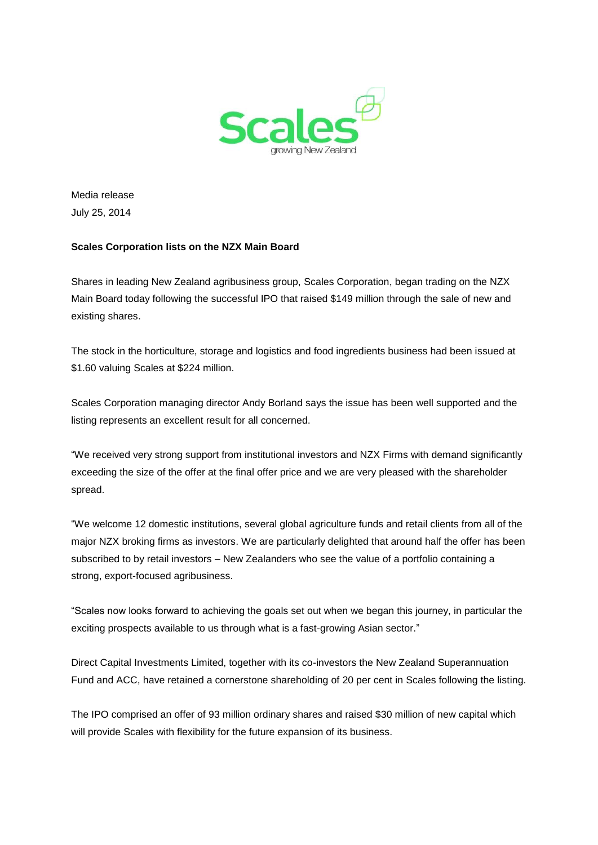

Media release July 25, 2014

## **Scales Corporation lists on the NZX Main Board**

Shares in leading New Zealand agribusiness group, Scales Corporation, began trading on the NZX Main Board today following the successful IPO that raised \$149 million through the sale of new and existing shares.

The stock in the horticulture, storage and logistics and food ingredients business had been issued at \$1.60 valuing Scales at \$224 million.

Scales Corporation managing director Andy Borland says the issue has been well supported and the listing represents an excellent result for all concerned.

"We received very strong support from institutional investors and NZX Firms with demand significantly exceeding the size of the offer at the final offer price and we are very pleased with the shareholder spread.

"We welcome 12 domestic institutions, several global agriculture funds and retail clients from all of the major NZX broking firms as investors. We are particularly delighted that around half the offer has been subscribed to by retail investors – New Zealanders who see the value of a portfolio containing a strong, export-focused agribusiness.

"Scales now looks forward to achieving the goals set out when we began this journey, in particular the exciting prospects available to us through what is a fast-growing Asian sector."

Direct Capital Investments Limited, together with its co-investors the New Zealand Superannuation Fund and ACC, have retained a cornerstone shareholding of 20 per cent in Scales following the listing.

The IPO comprised an offer of 93 million ordinary shares and raised \$30 million of new capital which will provide Scales with flexibility for the future expansion of its business.